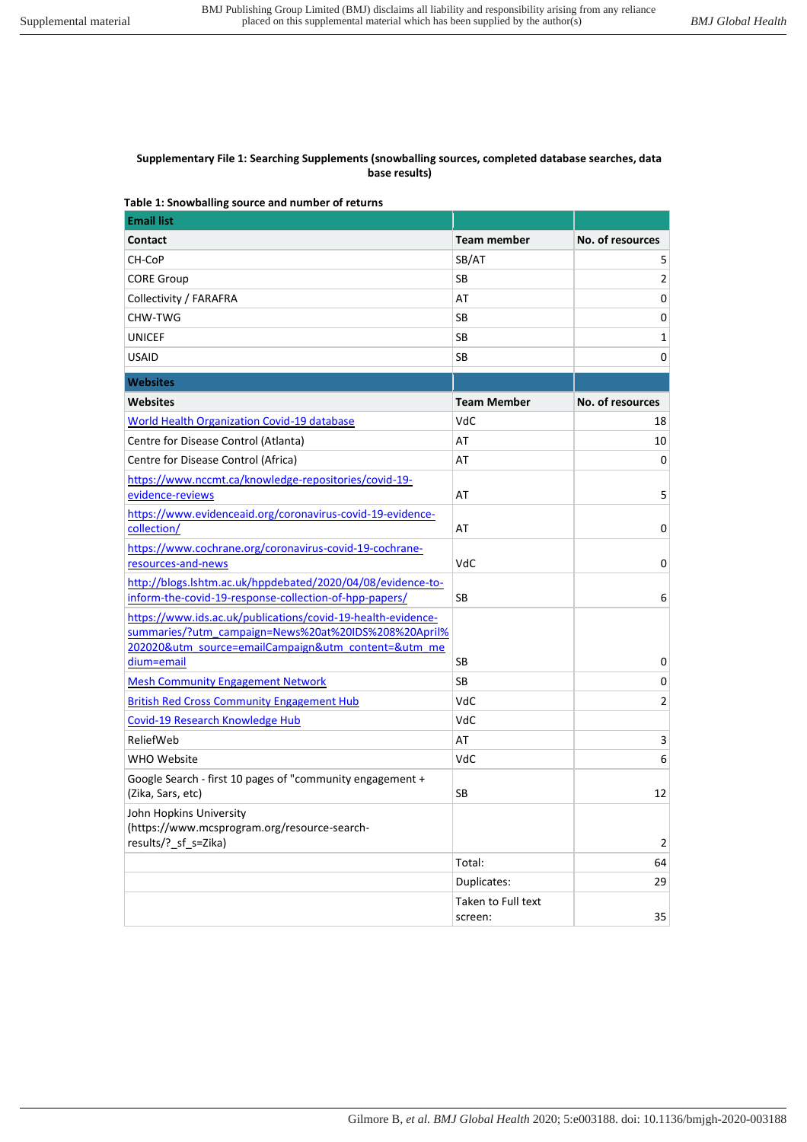#### **Supplementary File 1: Searching Supplements (snowballing sources, completed database searches, data base results)**

### **Table 1: Snowballing source and number of returns**

| <b>Email list</b>                                                                                                    |                               |                  |
|----------------------------------------------------------------------------------------------------------------------|-------------------------------|------------------|
| Contact                                                                                                              | <b>Team member</b>            | No. of resources |
| CH-CoP                                                                                                               | SB/AT                         | 5                |
| <b>CORE Group</b>                                                                                                    | SB                            | $\overline{2}$   |
| Collectivity / FARAFRA                                                                                               | AT                            | 0                |
| CHW-TWG                                                                                                              | SB                            | 0                |
| <b>UNICEF</b>                                                                                                        | SB                            | 1                |
| <b>USAID</b>                                                                                                         | SB                            | 0                |
| <b>Websites</b>                                                                                                      |                               |                  |
| <b>Websites</b>                                                                                                      | <b>Team Member</b>            | No. of resources |
| World Health Organization Covid-19 database                                                                          | VdC                           | 18               |
| Centre for Disease Control (Atlanta)                                                                                 | AT                            | 10               |
| Centre for Disease Control (Africa)                                                                                  | AT                            | 0                |
| https://www.nccmt.ca/knowledge-repositories/covid-19-                                                                |                               |                  |
| evidence-reviews                                                                                                     | AT                            | 5                |
| https://www.evidenceaid.org/coronavirus-covid-19-evidence-<br>collection/                                            | AT                            | 0                |
| https://www.cochrane.org/coronavirus-covid-19-cochrane-                                                              |                               |                  |
| resources-and-news                                                                                                   | VdC                           | 0                |
| http://blogs.lshtm.ac.uk/hppdebated/2020/04/08/evidence-to-                                                          |                               |                  |
| inform-the-covid-19-response-collection-of-hpp-papers/                                                               | SB                            | 6                |
| https://www.ids.ac.uk/publications/covid-19-health-evidence-<br>summaries/?utm_campaign=News%20at%20IDS%208%20April% |                               |                  |
| 202020&utm_source=emailCampaign&utm_content=&utm_me                                                                  |                               |                  |
| dium=email                                                                                                           | SB                            | 0                |
| <b>Mesh Community Engagement Network</b>                                                                             | SB                            | 0                |
| <b>British Red Cross Community Engagement Hub</b>                                                                    | VdC                           | 2                |
| Covid-19 Research Knowledge Hub                                                                                      | VdC                           |                  |
| ReliefWeb                                                                                                            | AT                            | 3                |
| WHO Website                                                                                                          | VdC                           | 6                |
| Google Search - first 10 pages of "community engagement +<br>(Zika, Sars, etc)                                       | SB                            | 12               |
| John Hopkins University<br>(https://www.mcsprogram.org/resource-search-<br>results/? sf s=Zika)                      |                               | $\overline{2}$   |
|                                                                                                                      | Total:                        | 64               |
|                                                                                                                      | Duplicates:                   | 29               |
|                                                                                                                      | Taken to Full text<br>screen: | 35               |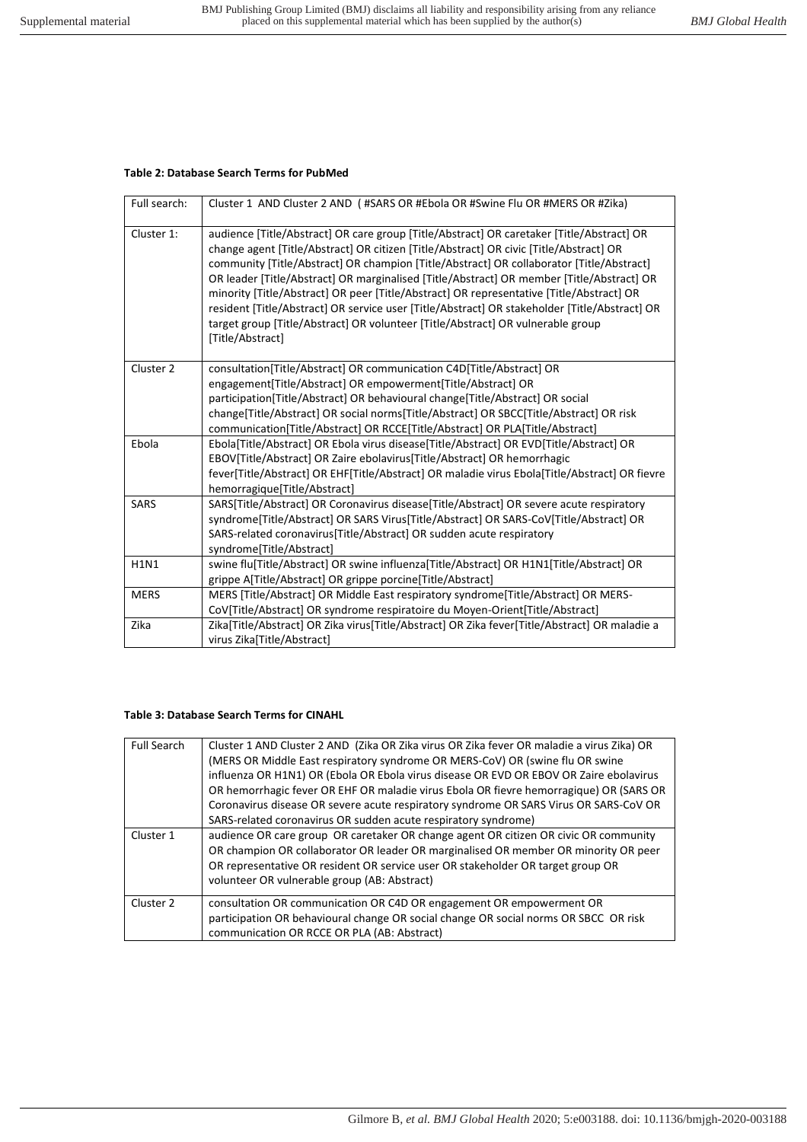# **Table 2: Database Search Terms for PubMed**

| Full search: | Cluster 1 AND Cluster 2 AND (#SARS OR #Ebola OR #Swine Flu OR #MERS OR #Zika)                                                                                                                                                                                                                                                                                                                                                                                                                                                                                                                                                                                                    |
|--------------|----------------------------------------------------------------------------------------------------------------------------------------------------------------------------------------------------------------------------------------------------------------------------------------------------------------------------------------------------------------------------------------------------------------------------------------------------------------------------------------------------------------------------------------------------------------------------------------------------------------------------------------------------------------------------------|
| Cluster 1:   | audience [Title/Abstract] OR care group [Title/Abstract] OR caretaker [Title/Abstract] OR<br>change agent [Title/Abstract] OR citizen [Title/Abstract] OR civic [Title/Abstract] OR<br>community [Title/Abstract] OR champion [Title/Abstract] OR collaborator [Title/Abstract]<br>OR leader [Title/Abstract] OR marginalised [Title/Abstract] OR member [Title/Abstract] OR<br>minority [Title/Abstract] OR peer [Title/Abstract] OR representative [Title/Abstract] OR<br>resident [Title/Abstract] OR service user [Title/Abstract] OR stakeholder [Title/Abstract] OR<br>target group [Title/Abstract] OR volunteer [Title/Abstract] OR vulnerable group<br>[Title/Abstract] |
| Cluster 2    | consultation[Title/Abstract] OR communication C4D[Title/Abstract] OR<br>engagement[Title/Abstract] OR empowerment[Title/Abstract] OR<br>participation[Title/Abstract] OR behavioural change[Title/Abstract] OR social<br>change[Title/Abstract] OR social norms[Title/Abstract] OR SBCC[Title/Abstract] OR risk<br>communication[Title/Abstract] OR RCCE[Title/Abstract] OR PLA[Title/Abstract]                                                                                                                                                                                                                                                                                  |
| Ebola        | Ebola[Title/Abstract] OR Ebola virus disease[Title/Abstract] OR EVD[Title/Abstract] OR<br>EBOV[Title/Abstract] OR Zaire ebolavirus[Title/Abstract] OR hemorrhagic<br>fever[Title/Abstract] OR EHF[Title/Abstract] OR maladie virus Ebola[Title/Abstract] OR fievre<br>hemorragique[Title/Abstract]                                                                                                                                                                                                                                                                                                                                                                               |
| <b>SARS</b>  | SARS[Title/Abstract] OR Coronavirus disease[Title/Abstract] OR severe acute respiratory<br>syndrome[Title/Abstract] OR SARS Virus[Title/Abstract] OR SARS-CoV[Title/Abstract] OR<br>SARS-related coronavirus [Title/Abstract] OR sudden acute respiratory<br>syndrome[Title/Abstract]                                                                                                                                                                                                                                                                                                                                                                                            |
| <b>H1N1</b>  | swine flu[Title/Abstract] OR swine influenza[Title/Abstract] OR H1N1[Title/Abstract] OR<br>grippe A[Title/Abstract] OR grippe porcine[Title/Abstract]                                                                                                                                                                                                                                                                                                                                                                                                                                                                                                                            |
| <b>MERS</b>  | MERS [Title/Abstract] OR Middle East respiratory syndrome[Title/Abstract] OR MERS-<br>CoV[Title/Abstract] OR syndrome respiratoire du Moyen-Orient[Title/Abstract]                                                                                                                                                                                                                                                                                                                                                                                                                                                                                                               |
| Zika         | Zika[Title/Abstract] OR Zika virus[Title/Abstract] OR Zika fever[Title/Abstract] OR maladie a<br>virus Zika[Title/Abstract]                                                                                                                                                                                                                                                                                                                                                                                                                                                                                                                                                      |

#### **Table 3: Database Search Terms for CINAHL**

| <b>Full Search</b> | Cluster 1 AND Cluster 2 AND (Zika OR Zika virus OR Zika fever OR maladie a virus Zika) OR |
|--------------------|-------------------------------------------------------------------------------------------|
|                    | (MERS OR Middle East respiratory syndrome OR MERS-CoV) OR (swine flu OR swine             |
|                    | influenza OR H1N1) OR (Ebola OR Ebola virus disease OR EVD OR EBOV OR Zaire ebolavirus    |
|                    | OR hemorrhagic fever OR EHF OR maladie virus Ebola OR fievre hemorragique) OR (SARS OR    |
|                    | Coronavirus disease OR severe acute respiratory syndrome OR SARS Virus OR SARS-CoV OR     |
|                    | SARS-related coronavirus OR sudden acute respiratory syndrome)                            |
| Cluster 1          | audience OR care group OR caretaker OR change agent OR citizen OR civic OR community      |
|                    | OR champion OR collaborator OR leader OR marginalised OR member OR minority OR peer       |
|                    | OR representative OR resident OR service user OR stakeholder OR target group OR           |
|                    | volunteer OR vulnerable group (AB: Abstract)                                              |
| Cluster 2          | consultation OR communication OR C4D OR engagement OR empowerment OR                      |
|                    | participation OR behavioural change OR social change OR social norms OR SBCC OR risk      |
|                    | communication OR RCCE OR PLA (AB: Abstract)                                               |
|                    |                                                                                           |